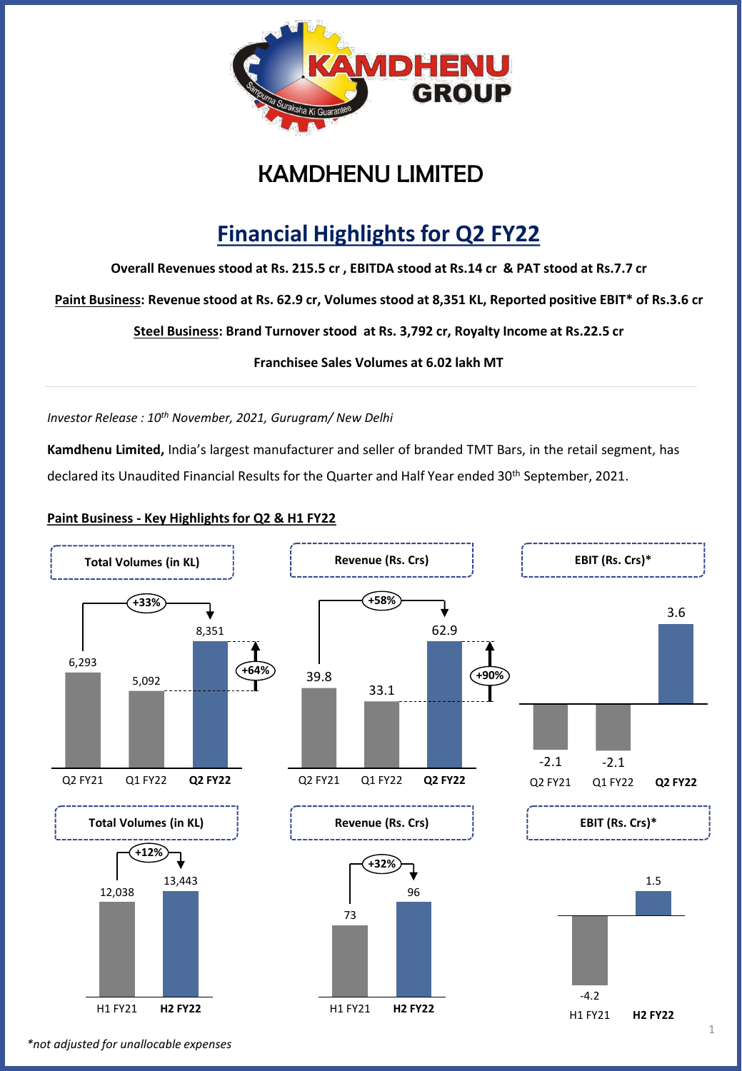

## KAMDHENU LIMITED

# **Financial Highlights for Q2 FY22**

**Overall Revenues stood at Rs. 215.5 cr , EBITDA stood at Rs.14 cr & PAT stood at Rs.7.7 cr**

**Paint Business: Revenue stood at Rs. 62.9 cr, Volumes stood at 8,351 KL, Reported positive EBIT\* of Rs.3.6 cr**

**Steel Business: Brand Turnover stood at Rs. 3,792 cr, Royalty Income at Rs.22.5 cr**

**Franchisee Sales Volumes at 6.02 lakh MT**

*Investor Release : 10th November, 2021, Gurugram/ New Delhi*

**Kamdhenu Limited,** India's largest manufacturer and seller of branded TMT Bars, in the retail segment, has declared its Unaudited Financial Results for the Quarter and Half Year ended 30<sup>th</sup> September, 2021.

### **Paint Business - Key Highlights for Q2 & H1 FY22**



*\*not adjusted for unallocable expenses*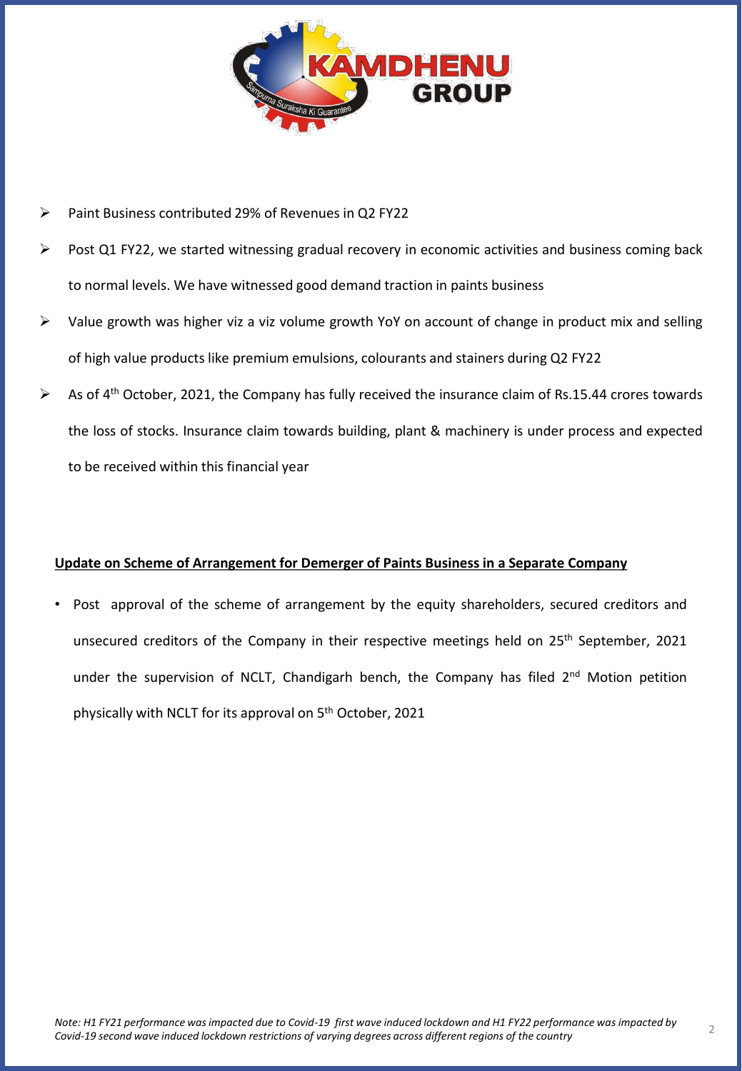

- Paint Business contributed 29% of Revenues in Q2 FY22
- Post Q1 FY22, we started witnessing gradual recovery in economic activities and business coming back to normal levels. We have witnessed good demand traction in paints business
- ➢ Value growth was higher viz a viz volume growth YoY on account of change in product mix and selling of high value products like premium emulsions, colourants and stainers during Q2 FY22
- ➢ As of 4 th October, 2021, the Company has fully received the insurance claim of Rs.15.44 crores towards the loss of stocks. Insurance claim towards building, plant & machinery is under process and expected to be received within this financial year

### **Update on Scheme of Arrangement for Demerger of Paints Business in a Separate Company**

• Post approval of the scheme of arrangement by the equity shareholders, secured creditors and unsecured creditors of the Company in their respective meetings held on 25<sup>th</sup> September, 2021 under the supervision of NCLT, Chandigarh bench, the Company has filed 2<sup>nd</sup> Motion petition physically with NCLT for its approval on 5<sup>th</sup> October, 2021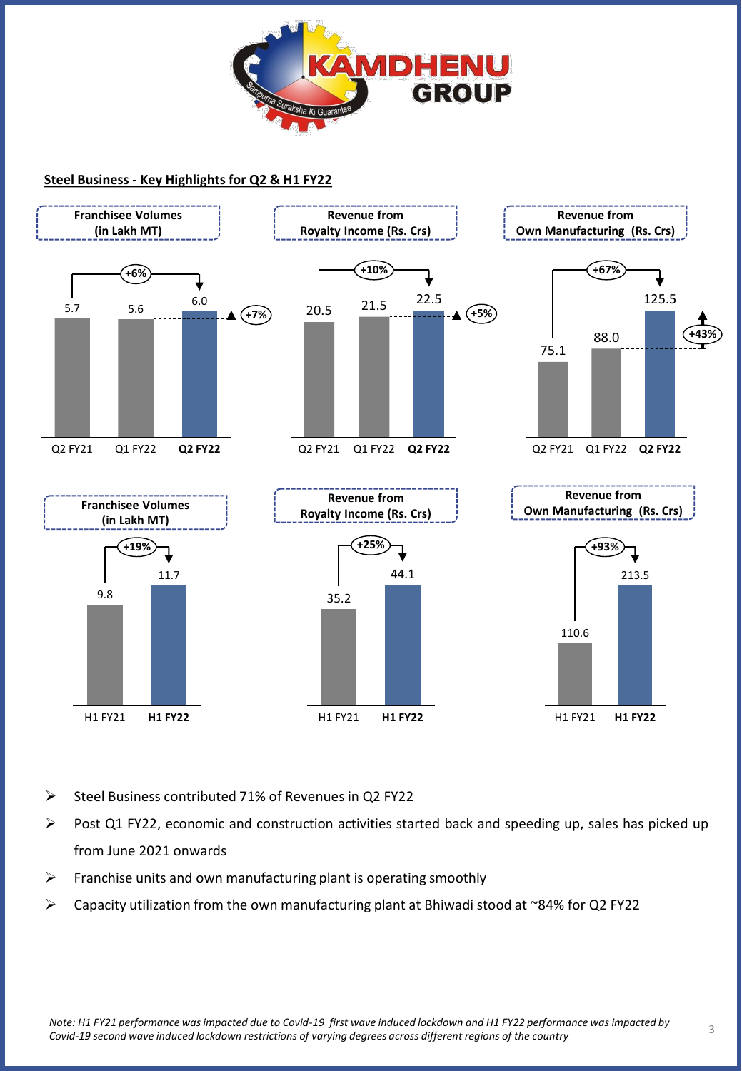

### **Steel Business - Key Highlights for Q2 & H1 FY22**



- Steel Business contributed 71% of Revenues in Q2 FY22
- $\triangleright$  Post Q1 FY22, economic and construction activities started back and speeding up, sales has picked up from June 2021 onwards
- ➢ Franchise units and own manufacturing plant is operating smoothly
- ➢ Capacity utilization from the own manufacturing plant at Bhiwadi stood at ~84% for Q2 FY22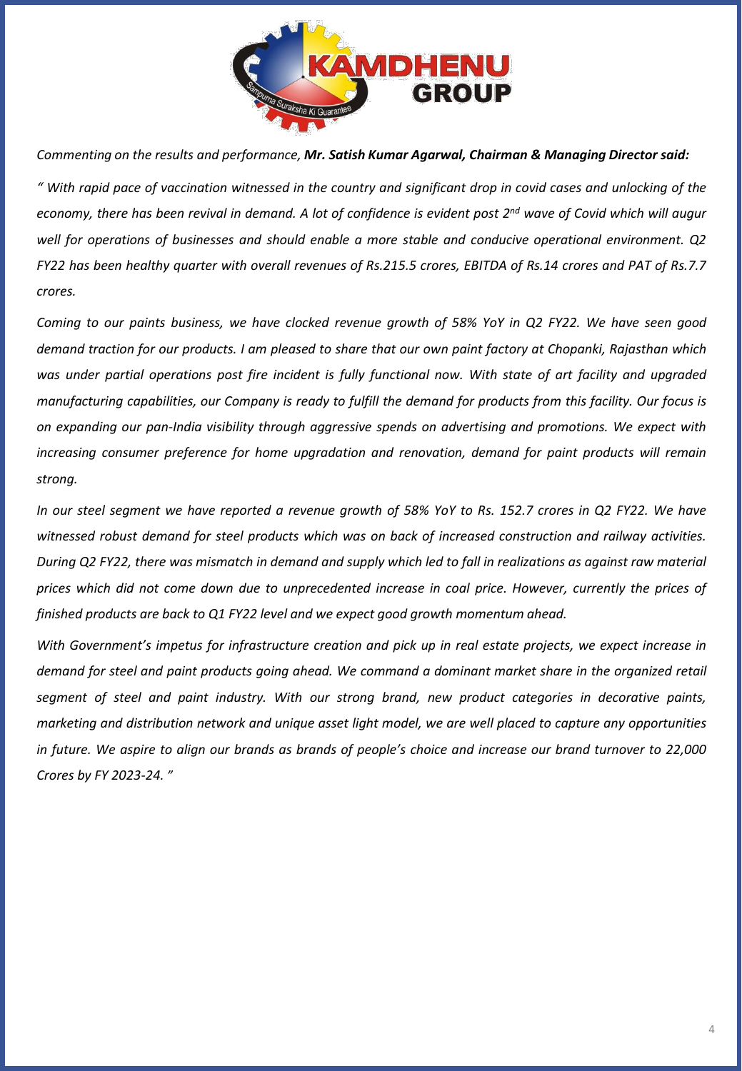

*Commenting on the results and performance, Mr. Satish Kumar Agarwal, Chairman & Managing Director said:*

" With rapid pace of vaccination witnessed in the country and significant drop in covid cases and unlocking of the economy, there has been revival in demand. A lot of confidence is evident post 2<sup>nd</sup> wave of Covid which will augur *well for operations of businesses and should enable a more stable and conducive operational environment. Q2* FY22 has been healthy quarter with overall revenues of Rs.215.5 crores, EBITDA of Rs.14 crores and PAT of Rs.7.7 *crores.*

Coming to our paints business, we have clocked revenue growth of 58% YoY in Q2 FY22. We have seen good demand traction for our products. I am pleased to share that our own paint factory at Chopanki, Rajasthan which was under partial operations post fire incident is fully functional now. With state of art facility and upgraded manufacturing capabilities, our Company is ready to fulfill the demand for products from this facility. Our focus is *on expanding our pan-India visibility through aggressive spends on advertising and promotions. We expect with increasing consumer preference for home upgradation and renovation, demand for paint products will remain strong.*

In our steel segment we have reported a revenue growth of 58% YoY to Rs. 152.7 crores in Q2 FY22. We have *witnessed robust demand for steel products which was on back of increased construction and railway activities.* During Q2 FY22, there was mismatch in demand and supply which led to fall in realizations as against raw material prices which did not come down due to unprecedented increase in coal price. However, currently the prices of *finished products are back to Q1 FY22 level and we expect good growth momentum ahead.*

With Government's impetus for infrastructure creation and pick up in real estate projects, we expect increase in demand for steel and paint products going ahead. We command a dominant market share in the organized retail *segment of steel and paint industry. With our strong brand, new product categories in decorative paints,* marketing and distribution network and unique asset light model, we are well placed to capture any opportunities in future. We aspire to align our brands as brands of people's choice and increase our brand turnover to 22,000 *Crores by FY 2023-24. "*